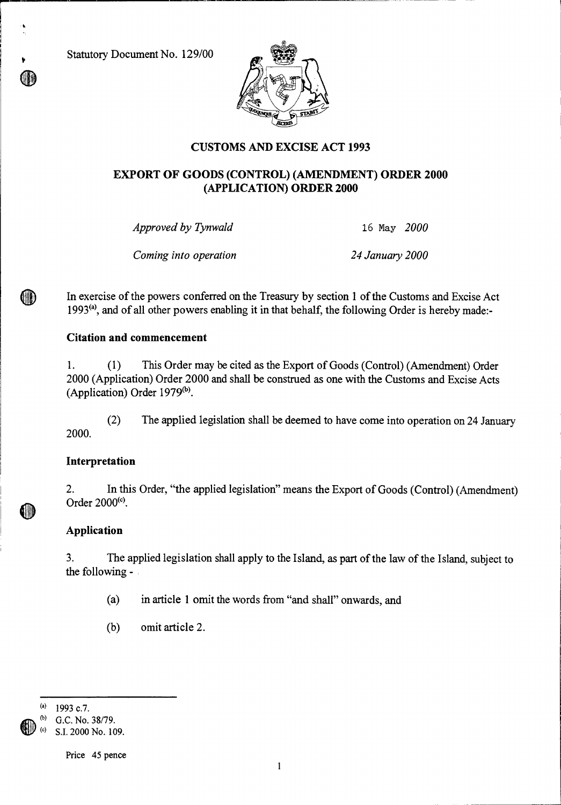Statutory Document No. 129/00



## **CUSTOMS AND EXCISE ACT 1993**

## **EXPORT OF GOODS (CONTROL) (AMENDMENT) ORDER 2000 (APPLICATION) ORDER 2000**

*Approved by Tynwald* 16 May *2000* 

*Coming into operation 24 January 2000* 

In exercise of the powers conferred on the Treasury by section 1 of the Customs and Excise Act 1993<sup>(a)</sup>, and of all other powers enabling it in that behalf, the following Order is hereby made:-

## **Citation and commencement**

1. (1) This Order may be cited as the Export of Goods (Control) (Amendment) Order 2000 (Application) Order 2000 and shall be construed as one with the Customs and Excise Acts (Application) Order  $1979<sup>(b)</sup>$ .

(2) The applied legislation shall be deemed to have come into operation on 24 January 2000.

## **Interpretation**

2. In this Order, "the applied legislation" means the Export of Goods (Control) (Amendment) Order 2000<sup>(c)</sup>.

## **Application**

3. The applied legislation shall apply to the Island, as part of the law of the Island, subject to the following -

- (a) in article 1 omit the words from "and shall" onwards, and
- (b) omit article 2.

1993 c.7.

G.C. No. 38/79. S.I. 2000 No. 109.

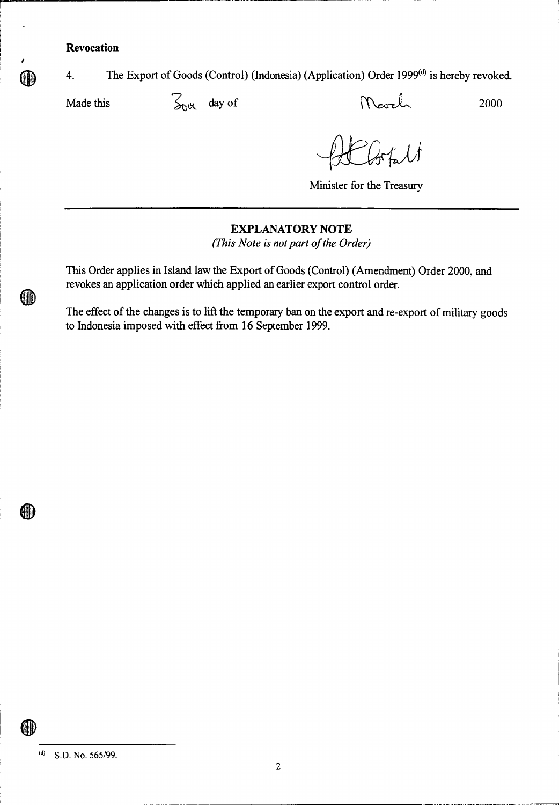**Revocation** 

4. The Export of Goods (Control) (Indonesia) (Application) Order 1999<sup>(d)</sup> is hereby revoked.

(III)

Made this  $\frac{1}{2000}$  day of Mevel 2000

**Minister for the Treasury** 

#### **EXPLANATORY NOTE**

*(This Note is not part of the Order)* 

**This Order applies in Island law the Export of Goods (Control) (Amendment) Order 2000, and revokes an application order which applied an earlier export control order.** 

**The effect of the changes is to lift the temporary ban on the export and re-export of military goods to Indonesia imposed with effect from 16 September 1999.** 

**(d) S.D. No. 565/99.** 

HD